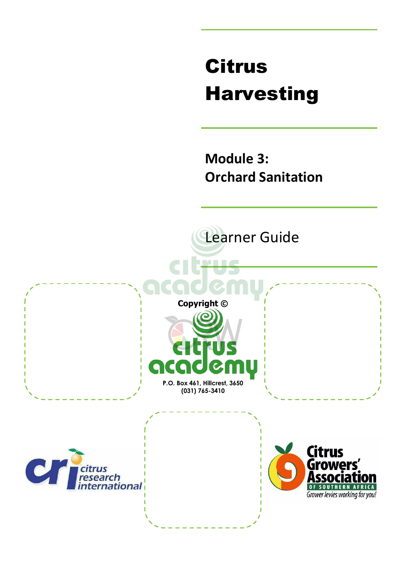# Citrus Harvesting

**Module 3: Orchard Sanitation** 

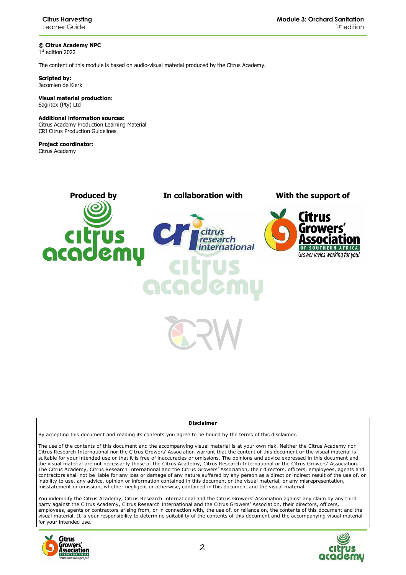**© Citrus Academy NPC**  1 st edition 2022

The content of this module is based on audio-visual material produced by the Citrus Academy.

**Scripted by:**  Jacomien de Klerk

**Visual material production:**  Sagritex (Pty) Ltd

#### **Additional information sources:**

Citrus Academy Production Learning Material CRI Citrus Production Guidelines

**Project coordinator:** Citrus Academy

![](_page_1_Picture_9.jpeg)

![](_page_1_Picture_11.jpeg)

#### **Disclaimer**

By accepting this document and reading its contents you agree to be bound by the terms of this disclaimer.

The use of the contents of this document and the accompanying visual material is at your own risk. Neither the Citrus Academy nor Citrus Research International nor the Citrus Growers' Association warrant that the content of this document or the visual material is suitable for your intended use or that it is free of inaccuracies or omissions. The opinions and advice expressed in this document and the visual material are not necessarily those of the Citrus Academy, Citrus Research International or the Citrus Growers' Association. The Citrus Academy, Citrus Research International and the Citrus Growers' Association, their directors, officers, employees, agents and contractors shall not be liable for any loss or damage of any nature suffered by any person as a direct or indirect result of the use of, or inability to use, any advice, opinion or information contained in this document or the visual material, or any misrepresentation, misstatement or omission, whether negligent or otherwise, contained in this document and the visual material.

You indemnify the Citrus Academy, Citrus Research International and the Citrus Growers' Association against any claim by any third party against the Citrus Academy, Citrus Research International and the Citrus Growers' Association, their directors, officers, employees, agents or contractors arising from, or in connection with, the use of, or reliance on, the contents of this document and the visual material. It is your responsibility to determine suitability of the contents of this document and the accompanying visual material for your intended use.

![](_page_1_Picture_16.jpeg)

![](_page_1_Picture_17.jpeg)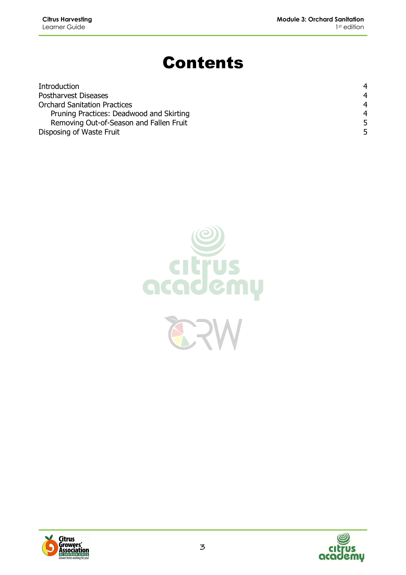## Contents

| Introduction                             | 4              |
|------------------------------------------|----------------|
| Postharvest Diseases                     | 4              |
| <b>Orchard Sanitation Practices</b>      | $\overline{4}$ |
| Pruning Practices: Deadwood and Skirting | $\overline{4}$ |
| Removing Out-of-Season and Fallen Fruit  | 5.             |
| Disposing of Waste Fruit                 |                |

![](_page_2_Picture_4.jpeg)

![](_page_2_Picture_5.jpeg)

![](_page_2_Picture_6.jpeg)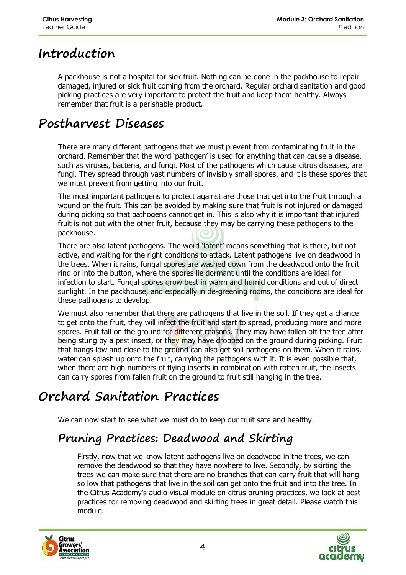#### **Introduction**

A packhouse is not a hospital for sick fruit. Nothing can be done in the packhouse to repair damaged, injured or sick fruit coming from the orchard. Regular orchard sanitation and good picking practices are very important to protect the fruit and keep them healthy. Always remember that fruit is a perishable product.

#### **Postharvest Diseases**

There are many different pathogens that we must prevent from contaminating fruit in the orchard. Remember that the word 'pathogen' is used for anything that can cause a disease, such as viruses, bacteria, and fungi. Most of the pathogens which cause citrus diseases, are fungi. They spread through vast numbers of invisibly small spores, and it is these spores that we must prevent from getting into our fruit.

The most important pathogens to protect against are those that get into the fruit through a wound on the fruit. This can be avoided by making sure that fruit is not injured or damaged during picking so that pathogens cannot get in. This is also why it is important that injured fruit is not put with the other fruit, because they may be carrying these pathogens to the packhouse.

There are also latent pathogens. The word 'latent' means something that is there, but not active, and waiting for the right conditions to attack. Latent pathogens live on deadwood in the trees. When it rains, fungal spores are washed down from the deadwood onto the fruit rind or into the button, where the spores lie dormant until the conditions are ideal for infection to start. Fungal spores grow best in warm and humid conditions and out of direct sunlight. In the packhouse, and especially in de-greening rooms, the conditions are ideal for these pathogens to develop.

We must also remember that there are pathogens that live in the soil. If they get a chance to get onto the fruit, they will infect the fruit and start to spread, producing more and more spores. Fruit fall on the ground for different reasons. They may have fallen off the tree after being stung by a pest insect, or they may have dropped on the ground during picking. Fruit that hangs low and close to the ground can also get soil pathogens on them. When it rains, water can splash up onto the fruit, carrying the pathogens with it. It is even possible that, when there are high numbers of flying insects in combination with rotten fruit, the insects can carry spores from fallen fruit on the ground to fruit still hanging in the tree.

### **Orchard Sanitation Practices**

We can now start to see what we must do to keep our fruit safe and healthy.

#### **Pruning Practices: Deadwood and Skirting**

Firstly, now that we know latent pathogens live on deadwood in the trees, we can remove the deadwood so that they have nowhere to live. Secondly, by skirting the trees we can make sure that there are no branches that can carry fruit that will hang so low that pathogens that live in the soil can get onto the fruit and into the tree. In the Citrus Academy's audio-visual module on citrus pruning practices, we look at best practices for removing deadwood and skirting trees in great detail. Please watch this module.

![](_page_3_Picture_13.jpeg)

![](_page_3_Picture_14.jpeg)